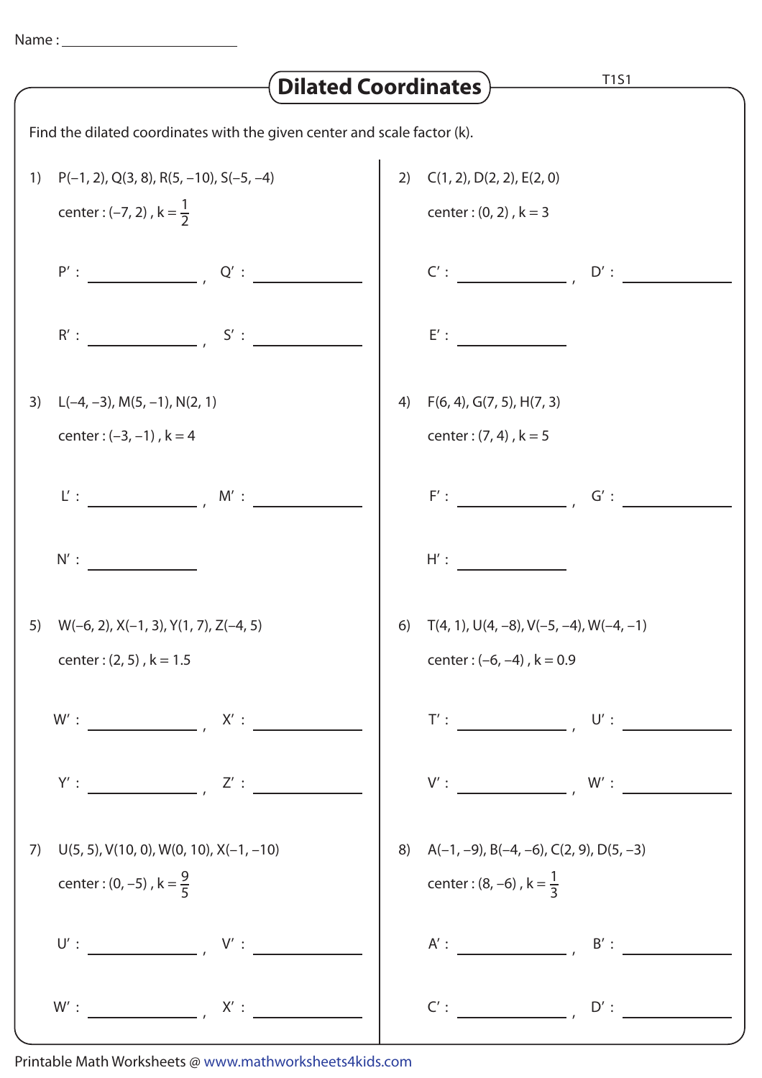| <b>T1S1</b><br><b>Dilated Coordinates</b> )                              |                                                       |    |                                                                                                                                                                                                                                                                                                                                                                                                                                                                                                                                                                                                                                         |
|--------------------------------------------------------------------------|-------------------------------------------------------|----|-----------------------------------------------------------------------------------------------------------------------------------------------------------------------------------------------------------------------------------------------------------------------------------------------------------------------------------------------------------------------------------------------------------------------------------------------------------------------------------------------------------------------------------------------------------------------------------------------------------------------------------------|
| Find the dilated coordinates with the given center and scale factor (k). |                                                       |    |                                                                                                                                                                                                                                                                                                                                                                                                                                                                                                                                                                                                                                         |
| 1)                                                                       | $P(-1, 2), Q(3, 8), R(5, -10), S(-5, -4)$             |    | 2) $C(1, 2)$ , $D(2, 2)$ , $E(2, 0)$                                                                                                                                                                                                                                                                                                                                                                                                                                                                                                                                                                                                    |
|                                                                          | center : $(-7, 2)$ , $k = \frac{1}{2}$                |    | center: $(0, 2)$ , $k = 3$                                                                                                                                                                                                                                                                                                                                                                                                                                                                                                                                                                                                              |
|                                                                          | $P':$ $Q':$ $Q':$ $Q':$                               |    | $C': \begin{array}{cccccccccc} \multicolumn{3}{c}{{\small{\hspace{-0.07cm} \begin{array}{c} \hline \multicolumn{3}{c}{}\\ \hline \multicolumn{3}{c}{}\\ \hline \multicolumn{3}{c}{}\\ \hline \multicolumn{3}{c}{}\\ \hline \multicolumn{3}{c}{}\\ \hline \multicolumn{3}{c}{}\\ \hline \multicolumn{3}{c}{}\\ \hline \multicolumn{3}{c}{}\\ \hline \multicolumn{3}{c}{}\\ \hline \multicolumn{3}{c}{}\\ \hline \multicolumn{3}{c}{}\\ \hline \multicolumn{3}{c}{}\\ \hline \multicolumn{3}{c}$<br>$\mathsf{D}': \begin{array}{c} \begin{array}{c} \begin{array}{c} \end{array} \\ \begin{array}{c} \end{array} \end{array} \end{array}$ |
|                                                                          | $R':$ $S':$ $S':$                                     |    | E':                                                                                                                                                                                                                                                                                                                                                                                                                                                                                                                                                                                                                                     |
| 3)                                                                       | $L(-4, -3)$ , M(5, -1), N(2, 1)                       | 4) | F(6, 4), G(7, 5), H(7, 3)                                                                                                                                                                                                                                                                                                                                                                                                                                                                                                                                                                                                               |
|                                                                          | center: $(-3, -1)$ , $k = 4$                          |    | center: $(7, 4)$ , $k = 5$                                                                                                                                                                                                                                                                                                                                                                                                                                                                                                                                                                                                              |
|                                                                          | $L':$ $M':$                                           |    | $F':$ $\qquad \qquad$<br>$G^{\prime}:$                                                                                                                                                                                                                                                                                                                                                                                                                                                                                                                                                                                                  |
|                                                                          | N':                                                   |    | $H'$ :                                                                                                                                                                                                                                                                                                                                                                                                                                                                                                                                                                                                                                  |
|                                                                          | 5) $W(-6, 2)$ , $X(-1, 3)$ , $Y(1, 7)$ , $Z(-4, 5)$   |    | 6) $T(4, 1), U(4, -8), V(-5, -4), W(-4, -1)$                                                                                                                                                                                                                                                                                                                                                                                                                                                                                                                                                                                            |
|                                                                          | center: $(2, 5)$ , $k = 1.5$                          |    | center : $(-6, -4)$ , $k = 0.9$                                                                                                                                                                                                                                                                                                                                                                                                                                                                                                                                                                                                         |
|                                                                          |                                                       |    | $\mathsf{T}' : \begin{tabular}{ c c c c } \hline \rule{0pt}{.5ex} \rule{0pt}{.5ex} \rule{0pt}{.5ex} \rule{0pt}{.5ex} \rule{0pt}{.5ex} \rule{0pt}{.5ex} \rule{0pt}{.5ex} \rule{0pt}{.5ex} \rule{0pt}{.5ex} \rule{0pt}{.5ex} \rule{0pt}{.5ex} \rule{0pt}{.5ex} \rule{0pt}{.5ex} \rule{0pt}{.5ex} \rule{0pt}{.5ex} \rule{0pt}{.5ex} \rule{0pt}{.5ex} \rule{0pt}{.5ex} \rule{0pt}{.5ex} \rule{0pt$                                                                                                                                                                                                                                          |
|                                                                          | $Y':$ $Z':$                                           |    | $V':$ W:                                                                                                                                                                                                                                                                                                                                                                                                                                                                                                                                                                                                                                |
|                                                                          | 7) $U(5, 5)$ , $V(10, 0)$ , $W(0, 10)$ , $X(-1, -10)$ |    | 8) $A(-1, -9)$ , B $(-4, -6)$ , C $(2, 9)$ , D $(5, -3)$                                                                                                                                                                                                                                                                                                                                                                                                                                                                                                                                                                                |
|                                                                          | center : $(0, -5)$ , $k = \frac{9}{5}$                |    | center : (8, -6), $k = \frac{1}{3}$                                                                                                                                                                                                                                                                                                                                                                                                                                                                                                                                                                                                     |
|                                                                          |                                                       |    | $A':$ $B':$ $B':$ $\overline{\phantom{A}}$                                                                                                                                                                                                                                                                                                                                                                                                                                                                                                                                                                                              |
|                                                                          |                                                       |    | C':<br>$D'$ :                                                                                                                                                                                                                                                                                                                                                                                                                                                                                                                                                                                                                           |

Printable Math Worksheets @ www.mathworksheets4kids.com